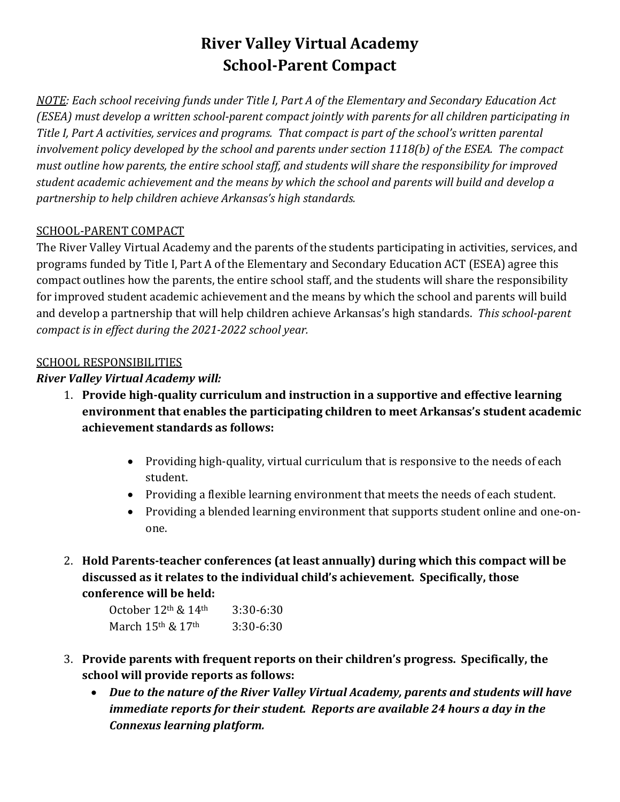# **River Valley Virtual Academy School-Parent Compact**

*NOTE: Each school receiving funds under Title I, Part A of the Elementary and Secondary Education Act (ESEA) must develop a written school-parent compact jointly with parents for all children participating in Title I, Part A activities, services and programs. That compact is part of the school's written parental involvement policy developed by the school and parents under section 1118(b) of the ESEA. The compact must outline how parents, the entire school staff, and students will share the responsibility for improved student academic achievement and the means by which the school and parents will build and develop a partnership to help children achieve Arkansas's high standards.* 

#### SCHOOL-PARENT COMPACT

The River Valley Virtual Academy and the parents of the students participating in activities, services, and programs funded by Title I, Part A of the Elementary and Secondary Education ACT (ESEA) agree this compact outlines how the parents, the entire school staff, and the students will share the responsibility for improved student academic achievement and the means by which the school and parents will build and develop a partnership that will help children achieve Arkansas's high standards. *This school-parent compact is in effect during the 2021-2022 school year.*

#### SCHOOL RESPONSIBILITIES

## *River Valley Virtual Academy will:*

- 1. **Provide high-quality curriculum and instruction in a supportive and effective learning environment that enables the participating children to meet Arkansas's student academic achievement standards as follows:**
	- Providing high-quality, virtual curriculum that is responsive to the needs of each student.
	- Providing a flexible learning environment that meets the needs of each student.
	- Providing a blended learning environment that supports student online and one-onone.
- 2. **Hold Parents-teacher conferences (at least annually) during which this compact will be discussed as it relates to the individual child's achievement. Specifically, those conference will be held:**

| October $12th$ & $14th$ | $3:30-6:30$ |
|-------------------------|-------------|
| March $15th$ & $17th$   | 3:30-6:30   |

- 3. **Provide parents with frequent reports on their children's progress. Specifically, the school will provide reports as follows:**
	- *Due to the nature of the River Valley Virtual Academy, parents and students will have immediate reports for their student. Reports are available 24 hours a day in the Connexus learning platform.*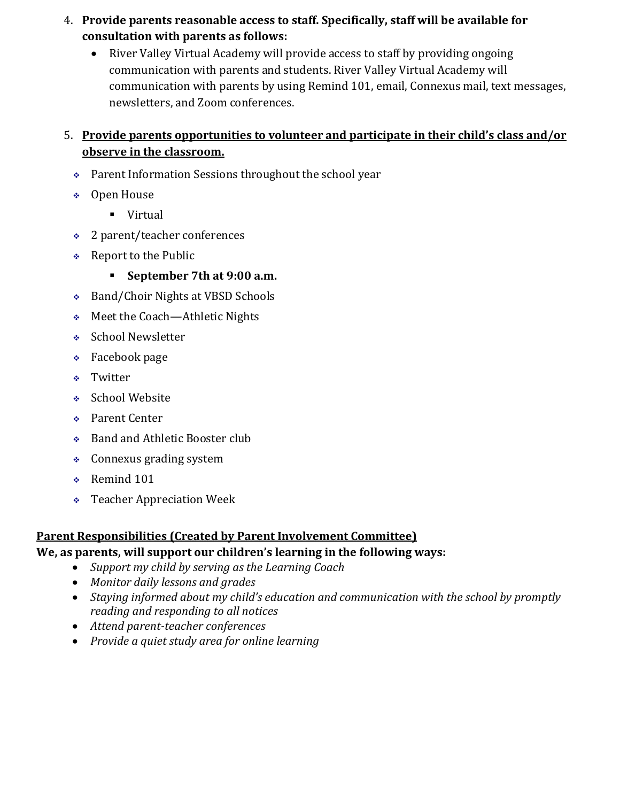- 4. **Provide parents reasonable access to staff. Specifically, staff will be available for consultation with parents as follows:** 
	- River Valley Virtual Academy will provide access to staff by providing ongoing communication with parents and students. River Valley Virtual Academy will communication with parents by using Remind 101, email, Connexus mail, text messages, newsletters, and Zoom conferences.

## 5. **Provide parents opportunities to volunteer and participate in their child's class and/or observe in the classroom.**

- Parent Information Sessions throughout the school year
- Open House
	- **virtual**
- 2 parent/teacher conferences
- \* Report to the Public
	- **September 7th at 9:00 a.m.**
- Band/Choir Nights at VBSD Schools
- Meet the Coach—Athletic Nights
- ◆ School Newsletter
- $\div$  Facebook page
- Twitter
- ◆ School Website
- ◆ Parent Center
- ◆ Band and Athletic Booster club
- Connexus grading system
- ◆ Remind 101
- Teacher Appreciation Week

## **Parent Responsibilities (Created by Parent Involvement Committee)**

## **We, as parents, will support our children's learning in the following ways:**

- *Support my child by serving as the Learning Coach*
- *Monitor daily lessons and grades*
- *Staying informed about my child's education and communication with the school by promptly reading and responding to all notices*
- *Attend parent-teacher conferences*
- *Provide a quiet study area for online learning*